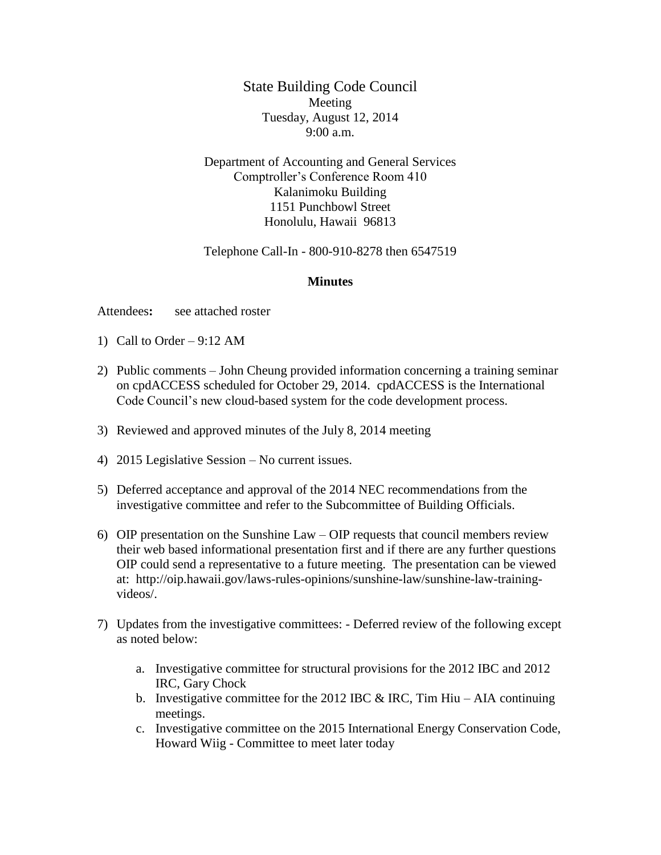State Building Code Council Meeting Tuesday, August 12, 2014 9:00 a.m.

Department of Accounting and General Services Comptroller's Conference Room 410 Kalanimoku Building 1151 Punchbowl Street Honolulu, Hawaii 96813

Telephone Call-In - 800-910-8278 then 6547519

## **Minutes**

Attendees**:** see attached roster

- 1) Call to Order  $9:12 \text{ AM}$
- 2) Public comments John Cheung provided information concerning a training seminar on cpdACCESS scheduled for October 29, 2014. cpdACCESS is the International Code Council's new cloud-based system for the code development process.
- 3) Reviewed and approved minutes of the July 8, 2014 meeting
- 4) 2015 Legislative Session No current issues.
- 5) Deferred acceptance and approval of the 2014 NEC recommendations from the investigative committee and refer to the Subcommittee of Building Officials.
- 6) OIP presentation on the Sunshine Law OIP requests that council members review their web based informational presentation first and if there are any further questions OIP could send a representative to a future meeting. The presentation can be viewed at: http://oip.hawaii.gov/laws-rules-opinions/sunshine-law/sunshine-law-trainingvideos/.
- 7) Updates from the investigative committees: Deferred review of the following except as noted below:
	- a. Investigative committee for structural provisions for the 2012 IBC and 2012 IRC, Gary Chock
	- b. Investigative committee for the 2012 IBC  $&$  IRC, Tim Hiu AIA continuing meetings.
	- c. Investigative committee on the 2015 International Energy Conservation Code, Howard Wiig - Committee to meet later today